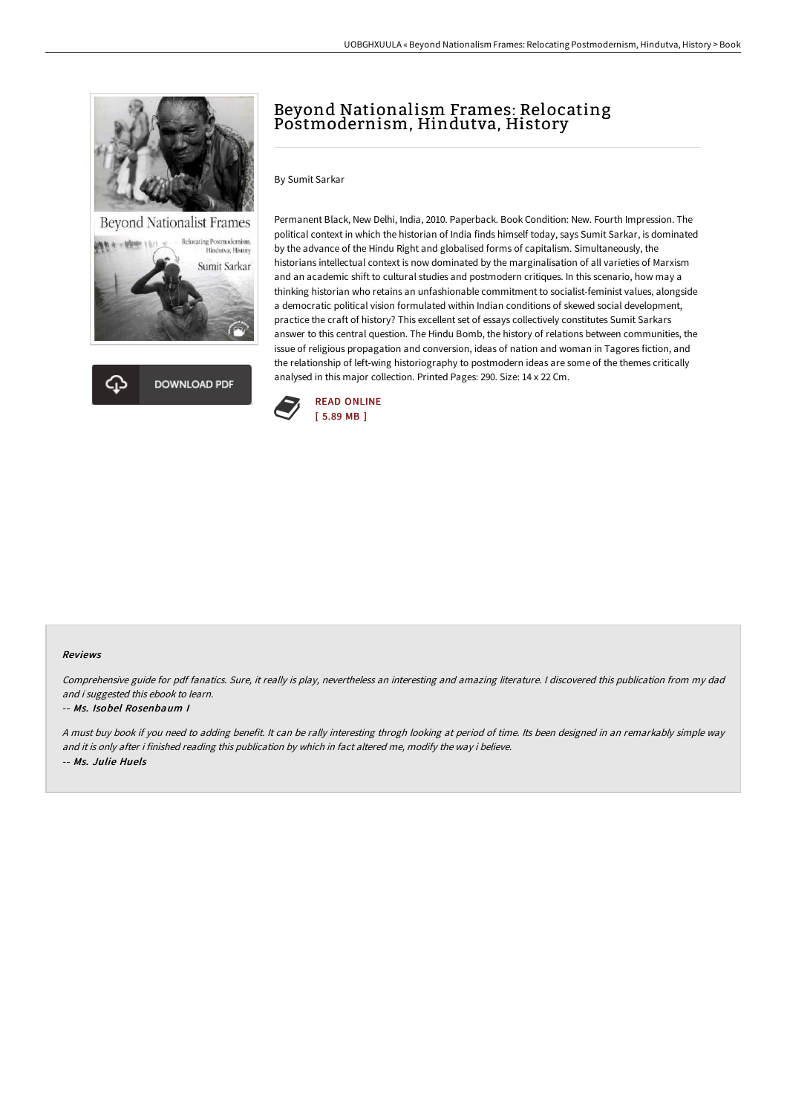



# Beyond Nationalism Frames: Relocating Postmodernism, Hindutva, History

By Sumit Sarkar

Permanent Black, New Delhi, India, 2010. Paperback. Book Condition: New. Fourth Impression. The political context in which the historian of India finds himself today, says Sumit Sarkar, is dominated by the advance of the Hindu Right and globalised forms of capitalism. Simultaneously, the historians intellectual context is now dominated by the marginalisation of all varieties of Marxism and an academic shift to cultural studies and postmodern critiques. In this scenario, how may a thinking historian who retains an unfashionable commitment to socialist-feminist values, alongside a democratic political vision formulated within Indian conditions of skewed social development, practice the craft of history? This excellent set of essays collectively constitutes Sumit Sarkars answer to this central question. The Hindu Bomb, the history of relations between communities, the issue of religious propagation and conversion, ideas of nation and woman in Tagores fiction, and the relationship of left-wing historiography to postmodern ideas are some of the themes critically analysed in this major collection. Printed Pages: 290. Size: 14 x 22 Cm.



#### Reviews

Comprehensive guide for pdf fanatics. Sure, it really is play, nevertheless an interesting and amazing literature. <sup>I</sup> discovered this publication from my dad and i suggested this ebook to learn.

### -- Ms. Isobel Rosenbaum I

<sup>A</sup> must buy book if you need to adding benefit. It can be rally interesting throgh looking at period of time. Its been designed in an remarkably simple way and it is only after i finished reading this publication by which in fact altered me, modify the way i believe. -- Ms. Julie Huels